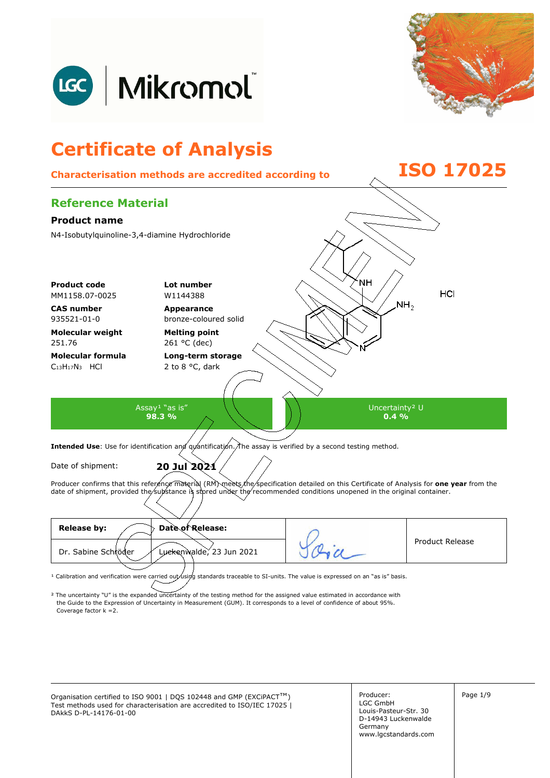



## **Certificate of Analysis Characterisation methods are accredited according to ISO 17025 Reference Material Product name**  N4-Isobutylquinoline-3,4-diamine Hydrochloride NН **Product code Lot number** HCI MM1158.07-0025 W1144388  $NH<sub>2</sub>$ **CAS number Appearance**  935521-01-0 bronze-coloured solid **Molecular weight Melting point**  251.76 261 °C (dec) **Molecular formula Long-term storage**  2 to 8 °C, dark  $C_{13}H_{17}N_3$  HCl Assay<sup>1</sup> "as is" Uncertainty² U **98.3 % 0.4 %**  Intended Use: Use for identification and quantification. The assay is verified by a second testing method. Date of shipment: **20 Jul 2021**

Producer confirms that this reference material (RM) meets the specification detailed on this Certificate of Analysis for **one year** from the date of shipment, provided the substance is stored under the recommended conditions unopened in the original container.

| Date of Release:<br><b>Release by:</b>          |                 |
|-------------------------------------------------|-----------------|
| Luckenwalde, 23 Jun 2021<br>Dr. Sabine Schröder | Product Release |
|                                                 |                 |

<sup>1</sup> Calibration and verification were carried out using standards traceable to SI-units. The value is expressed on an "as is" basis.

² The uncertainty "U" is the expanded uncertainty of the testing method for the assigned value estimated in accordance with Coverage factor k =2. the Guide to the Expression of Uncertainty in Measurement (GUM). It corresponds to a level of confidence of about 95%.

Organisation certified to ISO 9001 | DQS 102448 and GMP (EXCiPACT<sup>™</sup>) Producer: Page 1/9 Test methods used for characterisation are accredited to ISO/IEC 17025 | DAkkS D-PL-14176-01-00

Producer: LGC GmbH Louis-Pasteur-Str. 30 D-14943 Luckenwalde Germany www.lgcstandards.com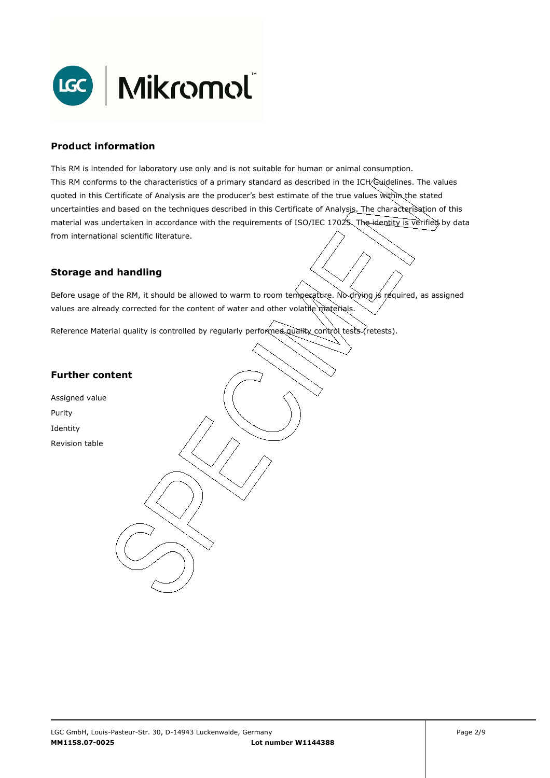

### **Product information**

This RM is intended for laboratory use only and is not suitable for human or animal consumption. This RM conforms to the characteristics of a primary standard as described in the ICH Guidelines. The values quoted in this Certificate of Analysis are the producer's best estimate of the true values within the stated uncertainties and based on the techniques described in this Certificate of Analysis. The characterisation of this material was undertaken in accordance with the requirements of ISO/IEC 17025. The identity is verified by data from international scientific literature.

## **Storage and handling**

Before usage of the RM, it should be allowed to warm to room temperature. No drying is required, as assigned values are already corrected for the content of water and other volatile materials.

Reference Material quality is controlled by regularly performed quality control tests (retests).

## **Further content**

Assigned value Purity Identity Revision table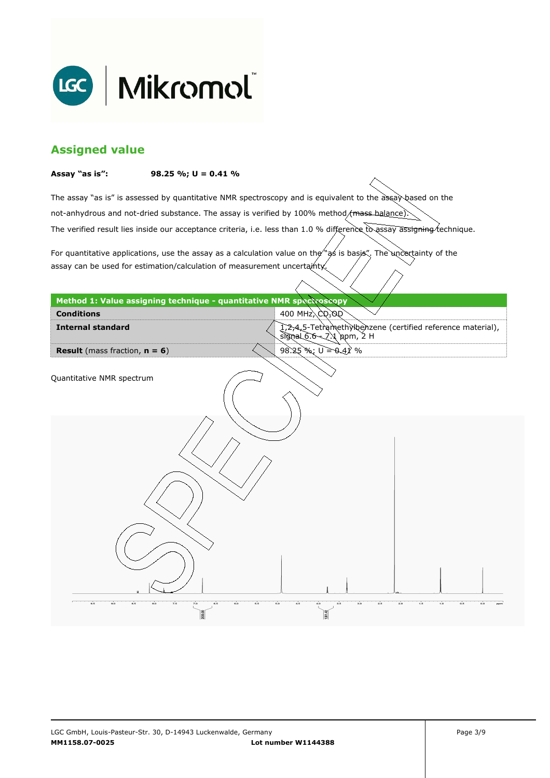

## **Assigned value**

#### **Assay "as is": 98.25 %; U = 0.41 %**

The assay "as is" is assessed by quantitative NMR spectroscopy and is equivalent to the assay based on the The verified result lies inside our acceptance criteria, i.e. less than 1.0 % difference to assay assigning technique. not-anhydrous and not-dried substance. The assay is verified by 100% method/mass-balance)

For quantitative applications, use the assay as a calculation value on the  $\gamma$  as is basis". The uncertainty of the assay can be used for estimation/calculation of measurement uncertainty.

| Method 1: Value assigning technique - quantitative NMR spectroscopy |                                                                                                 |
|---------------------------------------------------------------------|-------------------------------------------------------------------------------------------------|
| <b>Conditions</b>                                                   | 400 MHz $\bigtriangleup Q_3$ OQ                                                                 |
| <b>Internal standard</b>                                            | 1,2,4,5-Tetramethylbenzene (certified reference material),<br>$signal\delta.6\sim 7.1$ ppm, 2 H |
| <b>Result</b> (mass fraction, $n = 6$ )                             | 98.25 %; $U = 0.41$ %                                                                           |
| Quantitative NMR spectrum                                           |                                                                                                 |
|                                                                     |                                                                                                 |
|                                                                     |                                                                                                 |
| 9.0<br>9.5<br>8.0<br>7.5<br>8.5<br>7.0<br>6.5                       | 4.5<br>1.0<br>5.0<br>2.5<br>2.0<br>ı.s<br>4.0<br>3.5<br>3.0<br>0.5<br>6.0<br>5.5<br>0.0         |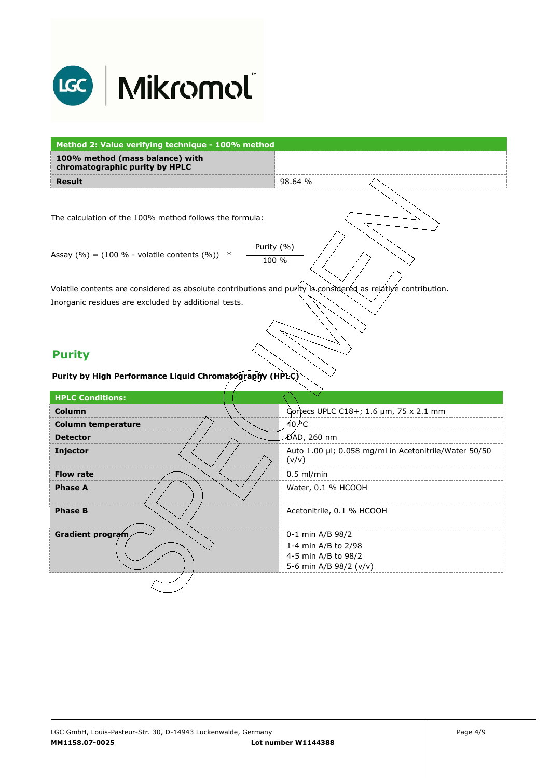

| Method 2: Value verifying technique - 100% method                 |                                                                                                               |  |  |  |
|-------------------------------------------------------------------|---------------------------------------------------------------------------------------------------------------|--|--|--|
| 100% method (mass balance) with<br>chromatographic purity by HPLC |                                                                                                               |  |  |  |
| <b>Result</b>                                                     | 98.64 %                                                                                                       |  |  |  |
|                                                                   |                                                                                                               |  |  |  |
| The calculation of the 100% method follows the formula:           |                                                                                                               |  |  |  |
| Assay $(\% ) = (100 \% - volatile contents (\%) )$                | Purity (%)<br>100 %                                                                                           |  |  |  |
|                                                                   | Volatile contents are considered as absolute contributions and purity is considered as relative contribution. |  |  |  |
| Inorganic residues are excluded by additional tests.              |                                                                                                               |  |  |  |
|                                                                   |                                                                                                               |  |  |  |
|                                                                   |                                                                                                               |  |  |  |
|                                                                   |                                                                                                               |  |  |  |
|                                                                   |                                                                                                               |  |  |  |
| <b>Purity</b>                                                     |                                                                                                               |  |  |  |
| Purity by High Performance Liquid Chromatography (HPLC)           |                                                                                                               |  |  |  |
| <b>HPLC Conditions:</b>                                           |                                                                                                               |  |  |  |
| Column                                                            | Correcs UPLC C18+; 1.6 µm, 75 x 2.1 mm                                                                        |  |  |  |
| <b>Column temperature</b>                                         | 40 ∕°С                                                                                                        |  |  |  |
| <b>Detector</b>                                                   | DAD, 260 nm                                                                                                   |  |  |  |
|                                                                   | Auto 1.00 µl; 0.058 mg/ml in Acetonitrile/Water 50/50<br>(v/v)                                                |  |  |  |
| Injector<br><b>Flow rate</b>                                      | $0.5$ ml/min                                                                                                  |  |  |  |
| <b>Phase A</b>                                                    | Water, 0.1 % HCOOH                                                                                            |  |  |  |
| <b>Phase B</b>                                                    | Acetonitrile, 0.1 % HCOOH                                                                                     |  |  |  |
|                                                                   |                                                                                                               |  |  |  |
| Gradient program                                                  | 0-1 min A/B 98/2<br>1-4 min A/B to 2/98                                                                       |  |  |  |
|                                                                   | 4-5 min A/B to 98/2<br>5-6 min A/B 98/2 (v/v)                                                                 |  |  |  |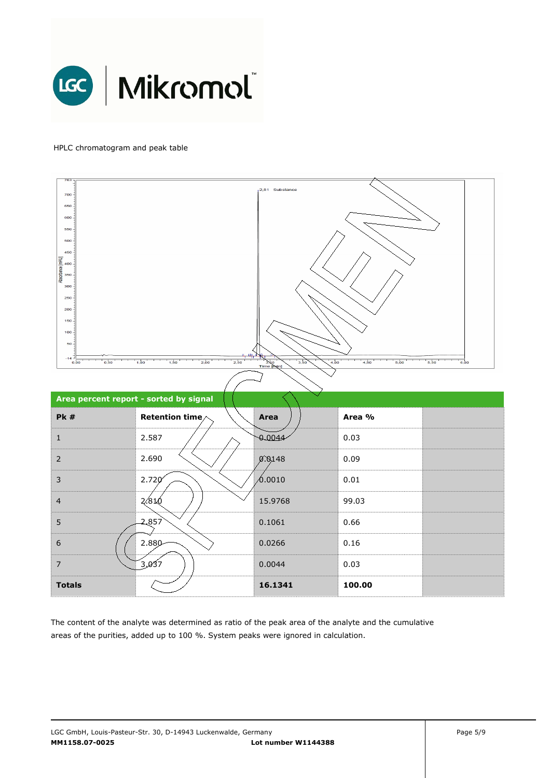

### HPLC chromatogram and peak table



The content of the analyte was determined as ratio of the peak area of the analyte and the cumulative areas of the purities, added up to 100 %. System peaks were ignored in calculation.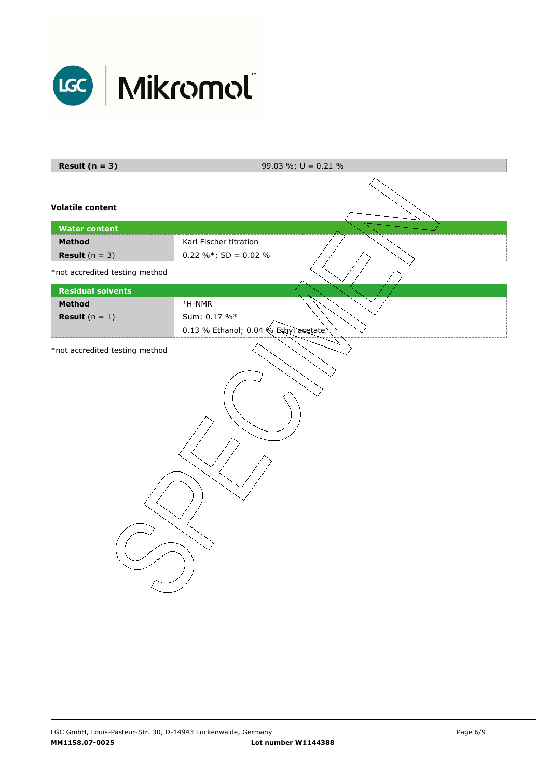

| Result $(n = 3)$               | 99.03 %; $U = 0.21$ %                |  |  |  |
|--------------------------------|--------------------------------------|--|--|--|
| <b>Volatile content</b>        |                                      |  |  |  |
| <b>Water content</b>           |                                      |  |  |  |
| Method                         | Karl Fischer titration               |  |  |  |
| <b>Result</b> $(n = 3)$        | $0.22 \%$ ; SD = 0.02 %              |  |  |  |
| *not accredited testing method |                                      |  |  |  |
| <b>Residual solvents</b>       |                                      |  |  |  |
| Method                         | $1H-NMR$                             |  |  |  |
| <b>Result</b> $(n = 1)$        | Sum: 0.17 %*                         |  |  |  |
|                                | 0.13 % Ethanol; 0.04 % Ethyl acetate |  |  |  |
| *not accredited testing method |                                      |  |  |  |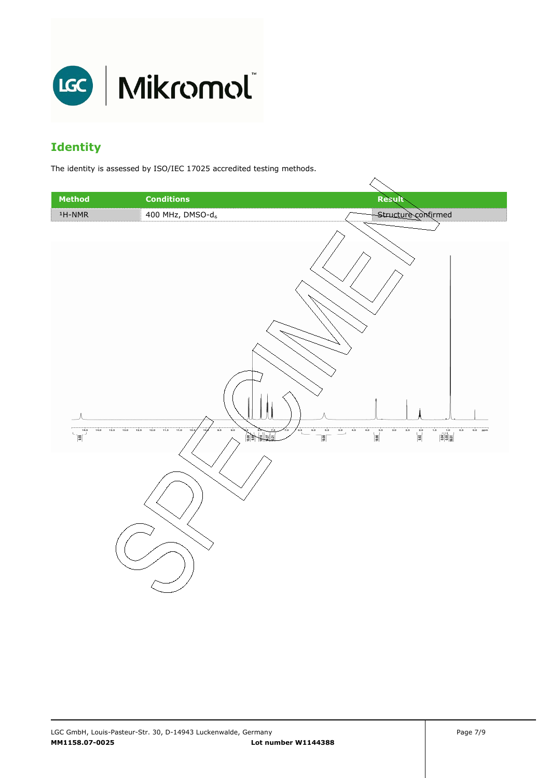

# **Identity**

The identity is assessed by ISO/IEC 17025 accredited testing methods.

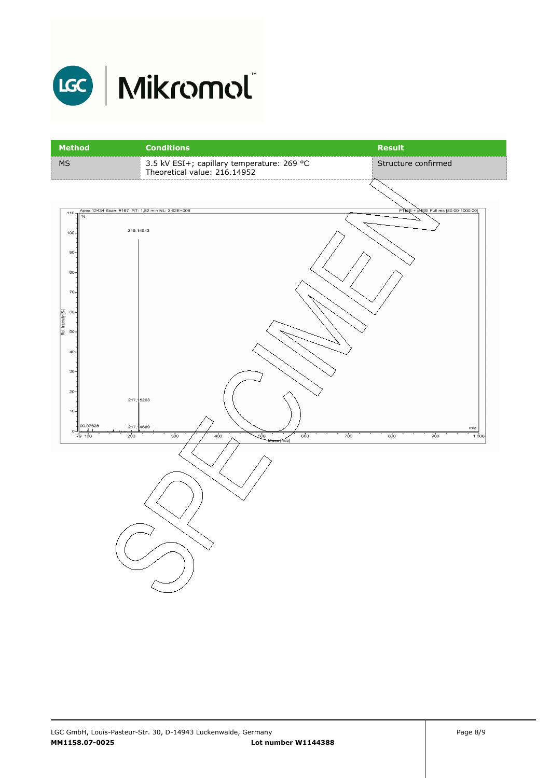

40

30

 $\overline{20}$ 

 $\circ$ - $\frac{1}{100}$ 

 $0.0$  $628$   $217$ 5263

217

 $\frac{1}{200}$ 

**1689** 

 $\frac{1}{300}$ 

| <b>Method</b>                                                       | <b>Conditions</b>                                                          | <b>Result</b>                         |
|---------------------------------------------------------------------|----------------------------------------------------------------------------|---------------------------------------|
| <b>MS</b>                                                           | 3.5 kV ESI+; capillary temperature: 269 °C<br>Theoretical value: 216.14952 | Structure confirmed                   |
|                                                                     |                                                                            |                                       |
| Apex 12434 Scan: #167 RT: 1,82 min NL: 3,62E+008<br>$110 -$<br>$\%$ |                                                                            | $FTMS + DESI$ Full ms [80.00-1000.00] |
| 216, 14943<br>$100 -$<br>$90 -$<br>80                               |                                                                            |                                       |
| $70 -$                                                              |                                                                            |                                       |
| Rel. Intensity [%]<br>$60 -$<br>$50 -$                              |                                                                            |                                       |

500

 $700$ 

 $\overline{800}$ 

 $\frac{1}{900}$ 

 $1.00$